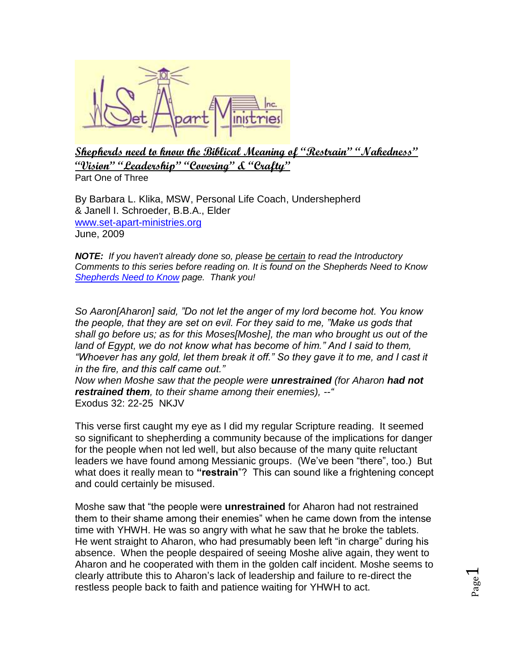

**Shepherds need to know the Biblical Meaning of "Restrain" "Nakedness" "Vision" "Leadership" "Covering" & "Crafty"** Part One of Three

By Barbara L. Klika, MSW, Personal Life Coach, Undershepherd & Janell I. Schroeder, B.B.A., Elder [www.set-apart-ministries.org](http://www.set-apart-ministries.org/)  June, 2009

*NOTE: If you haven't already done so, please be certain to read the Introductory Comments to this series before reading on. It is found on the Shepherds Need to Know [Shepherds Need to Know](http://www.set-apart-ministries.org/shepherdsneedtoknow.html) page. Thank you!*

*So Aaron[Aharon] said, "Do not let the anger of my lord become hot. You know the people, that they are set on evil. For they said to me, "Make us gods that shall go before us; as for this Moses[Moshe], the man who brought us out of the land of Egypt, we do not know what has become of him." And I said to them,*  "Whoever has any gold, let them break it off." So they gave it to me, and I cast it *in the fire, and this calf came out."* 

*Now when Moshe saw that the people were unrestrained (for Aharon had not restrained them, to their shame among their enemies), --"* Exodus 32: 22-25 NKJV

This verse first caught my eye as I did my regular Scripture reading. It seemed so significant to shepherding a community because of the implications for danger for the people when not led well, but also because of the many quite reluctant leaders we have found among Messianic groups. (We've been "there", too.) But what does it really mean to **"restrain**"? This can sound like a frightening concept and could certainly be misused.

Moshe saw that "the people were **unrestrained** for Aharon had not restrained them to their shame among their enemies" when he came down from the intense time with YHWH. He was so angry with what he saw that he broke the tablets. He went straight to Aharon, who had presumably been left "in charge" during his absence. When the people despaired of seeing Moshe alive again, they went to Aharon and he cooperated with them in the golden calf incident. Moshe seems to clearly attribute this to Aharon's lack of leadership and failure to re-direct the restless people back to faith and patience waiting for YHWH to act.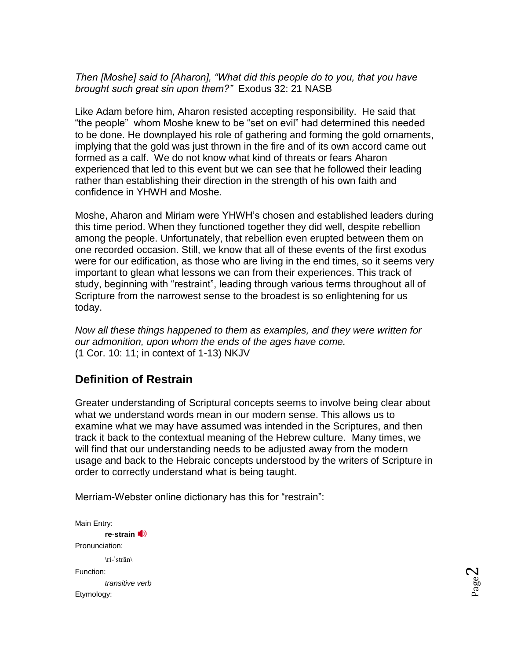## *Then [Moshe] said to [Aharon], "What did this people do to you, that you have brought such great sin upon them?"* Exodus 32: 21 NASB

Like Adam before him, Aharon resisted accepting responsibility. He said that "the people" whom Moshe knew to be "set on evil" had determined this needed to be done. He downplayed his role of gathering and forming the gold ornaments, implying that the gold was just thrown in the fire and of its own accord came out formed as a calf. We do not know what kind of threats or fears Aharon experienced that led to this event but we can see that he followed their leading rather than establishing their direction in the strength of his own faith and confidence in YHWH and Moshe.

Moshe, Aharon and Miriam were YHWH's chosen and established leaders during this time period. When they functioned together they did well, despite rebellion among the people. Unfortunately, that rebellion even erupted between them on one recorded occasion. Still, we know that all of these events of the first exodus were for our edification, as those who are living in the end times, so it seems very important to glean what lessons we can from their experiences. This track of study, beginning with "restraint", leading through various terms throughout all of Scripture from the narrowest sense to the broadest is so enlightening for us today.

*Now all these things happened to them as examples, and they were written for our admonition, upon whom the ends of the ages have come.* (1 Cor. 10: 11; in context of 1-13) NKJV

# **Definition of Restrain**

Greater understanding of Scriptural concepts seems to involve being clear about what we understand words mean in our modern sense. This allows us to examine what we may have assumed was intended in the Scriptures, and then track it back to the contextual meaning of the Hebrew culture. Many times, we will find that our understanding needs to be adjusted away from the modern usage and back to the Hebraic concepts understood by the writers of Scripture in order to correctly understand what is being taught.

Merriam-Webster online dictionary has this for "restrain":

Main Entry: **re·strai[n](http://www.merriam-webster.com/dictionary/%20%20%20%20%20%20%20%20/cgi-bin/audio.pl?restra01.wav=restrain)** Pronunciation: \ri-ˈstrān\ Function: *transitive verb* Etymology: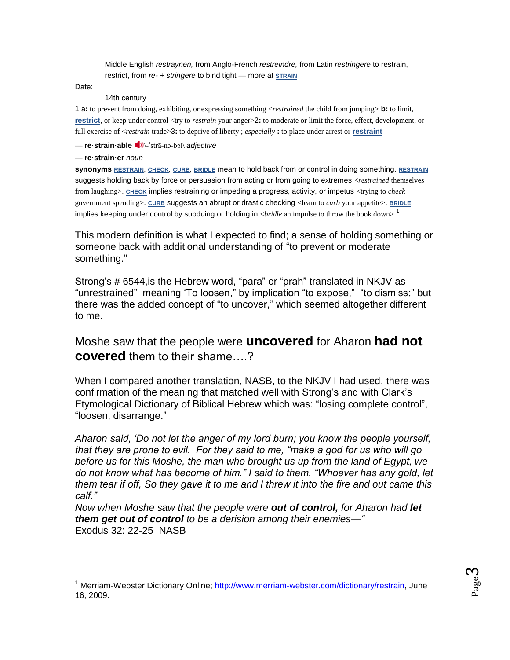Middle English *restraynen,* from Anglo-French *restreindre,* from Latin *restringere* to restrain, restrict, from *re-* + *stringere* to bind tight — more at **[STRAIN](http://www.merriam-webster.com/dictionary/strain)**

Date:

 $\overline{a}$ 

#### 14th century

1 a**:** to prevent from doing, exhibiting, or expressing something <*restrained* the child from jumping> **b:** to limit, **[restrict](http://www.merriam-webster.com/dictionary/restrict)**, or keep under control <try to *restrain* your anger>2: to moderate or limit the force, effect, development, or full exercise of <*restrain* trade>3**:** to deprive of liberty ; *especially* **:** to place under arrest or **[restraint](http://www.merriam-webster.com/dictionary/restraint)**

— **re·strain·able** ■<sup>1</sup><sup>1</sup><sup></sup> strā-nə-bəl[\](http://www.merriam-webster.com/dictionary/%20%20%20%20%20%20%20%20/cgi-bin/audio.pl?restra02.wav=restrainable) *adjective* 

#### — **re·strain·er** *noun*

**synonyms [RESTRAIN](http://www.merriam-webster.com/dictionary/restrain)**, **[CHECK](http://www.merriam-webster.com/dictionary/check)**, **[CURB](http://www.merriam-webster.com/dictionary/curb)**, **[BRIDLE](http://www.merriam-webster.com/dictionary/bridle)** mean to hold back from or control in doing something. **[RESTRAIN](http://www.merriam-webster.com/dictionary/restrain)** suggests holding back by force or persuasion from acting or from going to extremes <*restrained* themselves from laughing>. **[CHECK](http://www.merriam-webster.com/dictionary/check)** implies restraining or impeding a progress, activity, or impetus <trying to *check* government spending>. **[CURB](http://www.merriam-webster.com/dictionary/curb)** suggests an abrupt or drastic checking <learn to *curb* your appetite>. **[BRIDLE](http://www.merriam-webster.com/dictionary/bridle)** implies keeping under control by subduing or holding in <*bridle* an impulse to throw the book down>. 1

This modern definition is what I expected to find; a sense of holding something or someone back with additional understanding of "to prevent or moderate something."

Strong's # 6544,is the Hebrew word, "para" or "prah" translated in NKJV as "unrestrained" meaning 'To loosen," by implication "to expose," "to dismiss;" but there was the added concept of "to uncover," which seemed altogether different to me.

## Moshe saw that the people were **uncovered** for Aharon **had not covered** them to their shame….?

When I compared another translation, NASB, to the NKJV I had used, there was confirmation of the meaning that matched well with Strong's and with Clark's Etymological Dictionary of Biblical Hebrew which was: "losing complete control", "loosen, disarrange."

*Aharon said, 'Do not let the anger of my lord burn; you know the people yourself, that they are prone to evil. For they said to me, "make a god for us who will go before us for this Moshe, the man who brought us up from the land of Egypt, we do not know what has become of him." I said to them, "Whoever has any gold, let them tear if off, So they gave it to me and I threw it into the fire and out came this calf."*

*Now when Moshe saw that the people were out of control, for Aharon had let them get out of control to be a derision among their enemies—"* Exodus 32: 22-25 NASB

<sup>&</sup>lt;sup>1</sup> Merriam-Webster Dictionary Online; [http://www.merriam-webster.com/dictionary/restrain,](http://www.merriam-webster.com/dictionary/restrain) June 16, 2009.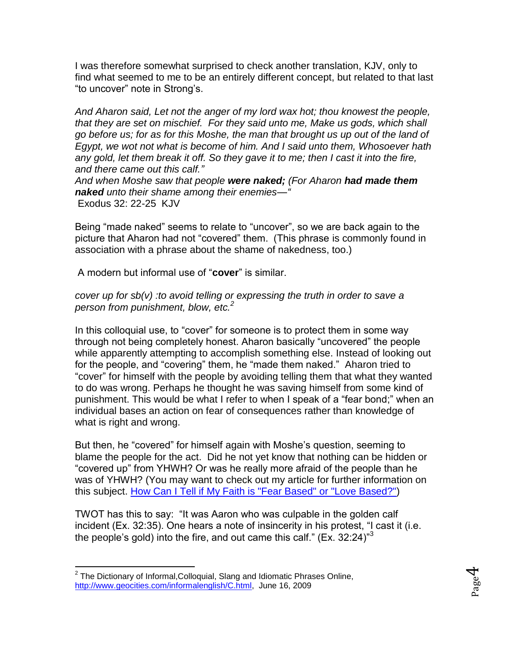I was therefore somewhat surprised to check another translation, KJV, only to find what seemed to me to be an entirely different concept, but related to that last "to uncover" note in Strong's.

*And Aharon said, Let not the anger of my lord wax hot; thou knowest the people, that they are set on mischief. For they said unto me, Make us gods, which shall go before us; for as for this Moshe, the man that brought us up out of the land of Egypt, we wot not what is become of him. And I said unto them, Whosoever hath any gold, let them break it off. So they gave it to me; then I cast it into the fire, and there came out this calf."* 

*And when Moshe saw that people were naked; (For Aharon had made them naked unto their shame among their enemies—"* Exodus 32: 22-25 KJV

Being "made naked" seems to relate to "uncover", so we are back again to the picture that Aharon had not "covered" them. (This phrase is commonly found in association with a phrase about the shame of nakedness, too.)

A modern but informal use of "**cover**" is similar.

### *cover up for sb(v) :to avoid telling or expressing the truth in order to save a person from punishment, blow, etc.<sup>2</sup>*

In this colloquial use, to "cover" for someone is to protect them in some way through not being completely honest. Aharon basically "uncovered" the people while apparently attempting to accomplish something else. Instead of looking out for the people, and "covering" them, he "made them naked." Aharon tried to "cover" for himself with the people by avoiding telling them that what they wanted to do was wrong. Perhaps he thought he was saving himself from some kind of punishment. This would be what I refer to when I speak of a "fear bond;" when an individual bases an action on fear of consequences rather than knowledge of what is right and wrong.

But then, he "covered" for himself again with Moshe's question, seeming to blame the people for the act. Did he not yet know that nothing can be hidden or "covered up" from YHWH? Or was he really more afraid of the people than he was of YHWH? (You may want to check out my article for further information on this subject. [How Can I Tell if My Faith is "Fear Based"](http://www.set-apart-ministries.org/files/Articles/HowCanITellFaithFearorLoveBased.May2006.pdf) or "Love Based?")

TWOT has this to say: "It was Aaron who was culpable in the golden calf incident (Ex. 32:35). One hears a note of insincerity in his protest, "I cast it (i.e. the people's gold) into the fire, and out came this calf." (Ex. 32:24) $^{\prime\prime}$ <sup>3</sup>

 $\overline{a}$ 

 $2$  The Dictionary of Informal, Colloquial, Slang and Idiomatic Phrases Online, [http://www.geocities.com/informalenglish/C.html,](http://www.geocities.com/informalenglish/C.html) June 16, 2009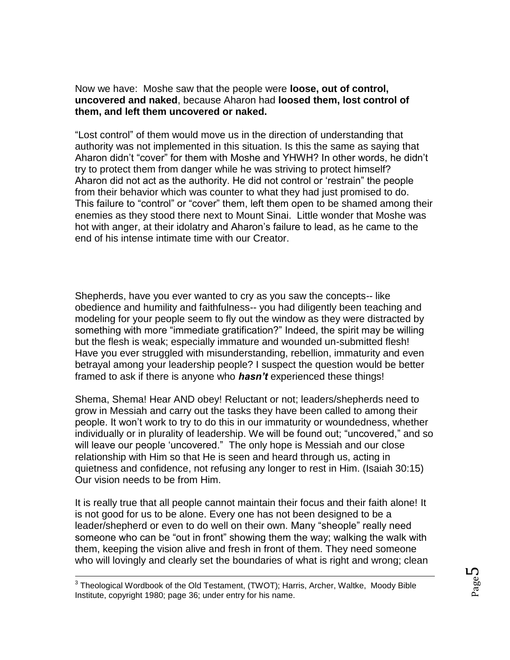Now we have: Moshe saw that the people were **loose, out of control, uncovered and naked**, because Aharon had **loosed them, lost control of them, and left them uncovered or naked.**

"Lost control" of them would move us in the direction of understanding that authority was not implemented in this situation. Is this the same as saying that Aharon didn't "cover" for them with Moshe and YHWH? In other words, he didn't try to protect them from danger while he was striving to protect himself? Aharon did not act as the authority. He did not control or 'restrain" the people from their behavior which was counter to what they had just promised to do. This failure to "control" or "cover" them, left them open to be shamed among their enemies as they stood there next to Mount Sinai. Little wonder that Moshe was hot with anger, at their idolatry and Aharon's failure to lead, as he came to the end of his intense intimate time with our Creator.

Shepherds, have you ever wanted to cry as you saw the concepts-- like obedience and humility and faithfulness-- you had diligently been teaching and modeling for your people seem to fly out the window as they were distracted by something with more "immediate gratification?" Indeed, the spirit may be willing but the flesh is weak; especially immature and wounded un-submitted flesh! Have you ever struggled with misunderstanding, rebellion, immaturity and even betrayal among your leadership people? I suspect the question would be better framed to ask if there is anyone who *hasn't* experienced these things!

Shema, Shema! Hear AND obey! Reluctant or not; leaders/shepherds need to grow in Messiah and carry out the tasks they have been called to among their people. It won't work to try to do this in our immaturity or woundedness, whether individually or in plurality of leadership. We will be found out; "uncovered," and so will leave our people 'uncovered." The only hope is Messiah and our close relationship with Him so that He is seen and heard through us, acting in quietness and confidence, not refusing any longer to rest in Him. (Isaiah 30:15) Our vision needs to be from Him.

It is really true that all people cannot maintain their focus and their faith alone! It is not good for us to be alone. Every one has not been designed to be a leader/shepherd or even to do well on their own. Many "sheople" really need someone who can be "out in front" showing them the way; walking the walk with them, keeping the vision alive and fresh in front of them. They need someone who will lovingly and clearly set the boundaries of what is right and wrong; clean

 3 Theological Wordbook of the Old Testament, (TWOT); Harris, Archer, Waltke, Moody Bible Institute, copyright 1980; page 36; under entry for his name.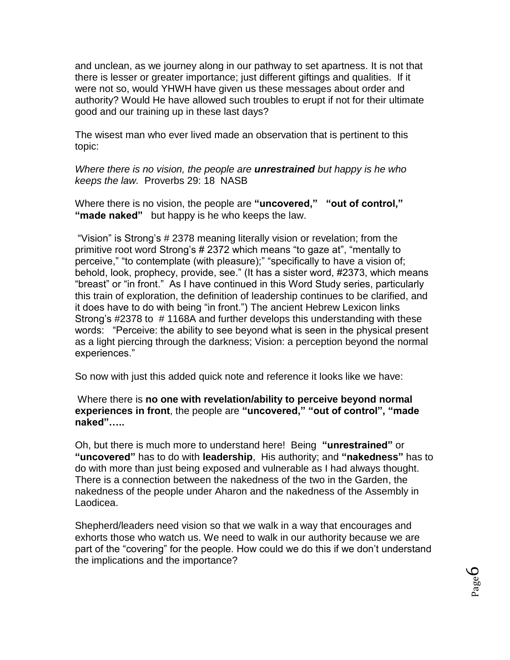and unclean, as we journey along in our pathway to set apartness. It is not that there is lesser or greater importance; just different giftings and qualities. If it were not so, would YHWH have given us these messages about order and authority? Would He have allowed such troubles to erupt if not for their ultimate good and our training up in these last days?

The wisest man who ever lived made an observation that is pertinent to this topic:

*Where there is no vision, the people are unrestrained but happy is he who keeps the law.* Proverbs 29: 18 NASB

Where there is no vision, the people are **"uncovered," "out of control," "made naked"** but happy is he who keeps the law.

"Vision" is Strong's # 2378 meaning literally vision or revelation; from the primitive root word Strong's # 2372 which means "to gaze at", "mentally to perceive," "to contemplate (with pleasure);" "specifically to have a vision of; behold, look, prophecy, provide, see." (It has a sister word, #2373, which means "breast" or "in front." As I have continued in this Word Study series, particularly this train of exploration, the definition of leadership continues to be clarified, and it does have to do with being "in front.") The ancient Hebrew Lexicon links Strong's #2378 to # 1168A and further develops this understanding with these words: "Perceive: the ability to see beyond what is seen in the physical present as a light piercing through the darkness; Vision: a perception beyond the normal experiences."

So now with just this added quick note and reference it looks like we have:

Where there is **no one with revelation/ability to perceive beyond normal experiences in front**, the people are **"uncovered," "out of control", "made naked"…..**

Oh, but there is much more to understand here! Being **"unrestrained"** or **"uncovered"** has to do with **leadership**, His authority; and **"nakedness"** has to do with more than just being exposed and vulnerable as I had always thought. There is a connection between the nakedness of the two in the Garden, the nakedness of the people under Aharon and the nakedness of the Assembly in Laodicea.

Shepherd/leaders need vision so that we walk in a way that encourages and exhorts those who watch us. We need to walk in our authority because we are part of the "covering" for the people. How could we do this if we don't understand the implications and the importance?